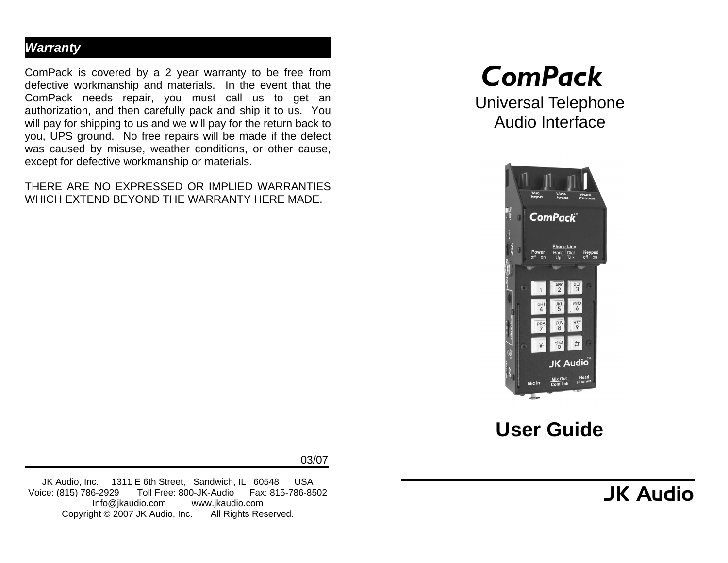# *Warranty*

ComPack is covered by a 2 year warranty to be free from defective workmanship and materials. In the event that the ComPack needs repair, you must call us to get an authorization, and then carefully pack and ship it to us. You will pay for shipping to us and we will pay for the return back to you, UPS ground. No free repairs will be made if the defect was caused by misuse, weather conditions, or other cause, except for defective workmanship or materials.

THERE ARE NO EXPRESSED OR IMPLIED WARRANTIES WHICH EXTEND BEYOND THE WARRANTY HERE MADE.

# *ComPack*

Universal Telephone Audio Interface



**User Guide** 

03/07

JK Audio, Inc. 1311 E 6th Street, Sandwich, IL 60548 USA Voice: (815) 786-2929 Toll Free: 800-JK-Audio Fax: 815-786-8502 Info@jkaudio.com www.jkaudio.com Copyright © 2007 JK Audio, Inc. All Rights Reserved.

JK Audio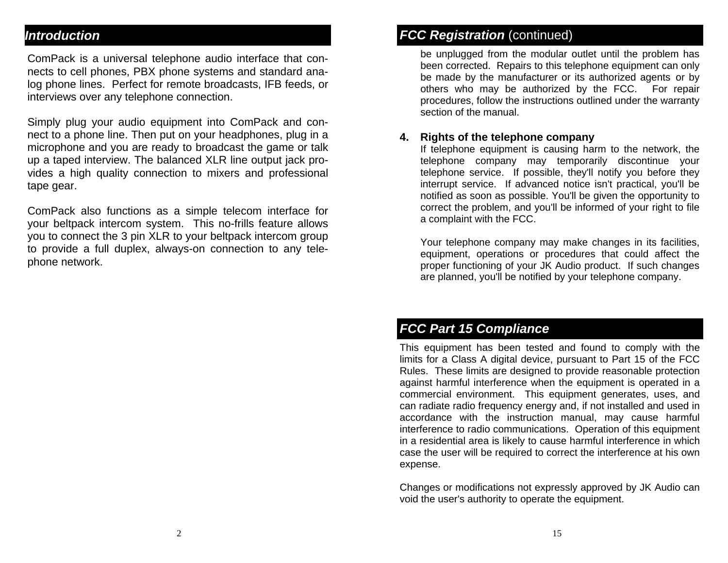# *Introduction*

ComPack is a universal telephone audio interface that connects to cell phones, PBX phone systems and standard analog phone lines. Perfect for remote broadcasts, IFB feeds, or interviews over any telephone connection.

Simply plug your audio equipment into ComPack and connect to a phone line. Then put on your headphones, plug in a microphone and you are ready to broadcast the game or talk up a taped interview. The balanced XLR line output jack provides a high quality connection to mixers and professional tape gear.

ComPack also functions as a simple telecom interface for your beltpack intercom system. This no-frills feature allows you to connect the 3 pin XLR to your beltpack intercom group to provide a full duplex, always-on connection to any telephone network.

# *FCC Registration (continued)*

be unplugged from the modular outlet until the problem has been corrected. Repairs to this telephone equipment can only be made by the manufacturer or its authorized agents or by others who may be authorized by the FCC. For repair procedures, follow the instructions outlined under the warranty section of the manual.

#### **4. Rights of the telephone company**

If telephone equipment is causing harm to the network, the telephone company may temporarily discontinue your telephone service. If possible, they'll notify you before they interrupt service. If advanced notice isn't practical, you'll be notified as soon as possible. You'll be given the opportunity to correct the problem, and you'll be informed of your right to file a complaint with the FCC.

 Your telephone company may make changes in its facilities, equipment, operations or procedures that could affect the proper functioning of your JK Audio product. If such changes are planned, you'll be notified by your telephone company.

# *FCC Part 15 Compliance*

This equipment has been tested and found to comply with the limits for a Class A digital device, pursuant to Part 15 of the FCC Rules. These limits are designed to provide reasonable protection against harmful interference when the equipment is operated in a commercial environment. This equipment generates, uses, and can radiate radio frequency energy and, if not installed and used in accordance with the instruction manual, may cause harmful interference to radio communications. Operation of this equipment in a residential area is likely to cause harmful interference in which case the user will be required to correct the interference at his own expense.

Changes or modifications not expressly approved by JK Audio can void the user's authority to operate the equipment.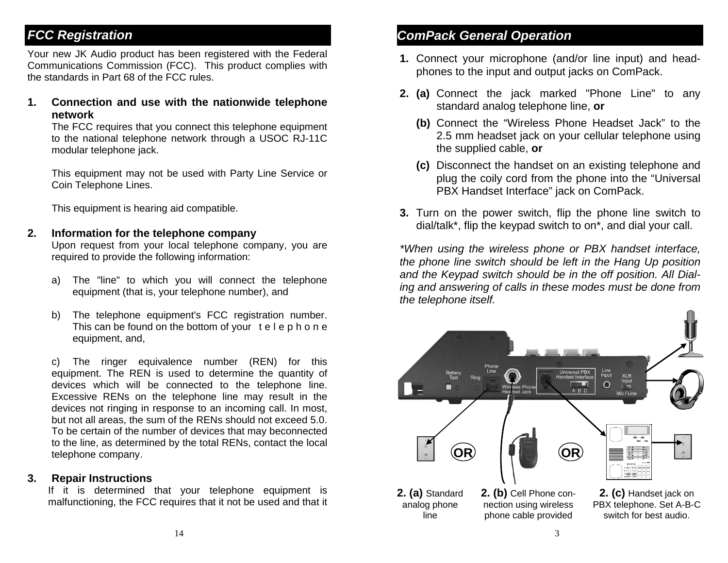# *FCC Registration*

Your new JK Audio product has been registered with the Federal Communications Commission (FCC). This product complies with the standards in Part 68 of the FCC rules.

**1. Connection and use with the nationwide telephone network** 

The FCC requires that you connect this telephone equipment to the national telephone network through a USOC RJ-11C modular telephone jack.

 This equipment may not be used with Party Line Service or Coin Telephone Lines.

This equipment is hearing aid compatible.

**2.Information for the telephone company** 

Upon request from your local telephone company, you are required to provide the following information:

- a) The "line" to which you will connect the telephone equipment (that is, your telephone number), and
- b) The telephone equipment's FCC registration number. This can be found on the bottom of your telephone equipment, and,

 c) The ringer equivalence number (REN) for this equipment. The REN is used to determine the quantity of devices which will be connected to the telephone line. Excessive RENs on the telephone line may result in the devices not ringing in response to an incoming call. In most, but not all areas, the sum of the RENs should not exceed 5.0. To be certain of the number of devices that may beconnected to the line, as determined by the total RENs, contact the local telephone company.

## **3. Repair Instructions**

If it is determined that your telephone equipment is malfunctioning, the FCC requires that it not be used and that it

# *ComPack General Operation*

- **1.** Connect your microphone (and/or line input) and headphones to the input and output jacks on ComPack.
- **2. (a)** Connect the jack marked "Phone Line" to any standard analog telephone line, **or**
	- **(b)** Connect the "Wireless Phone Headset Jack" to the 2.5 mm headset jack on your cellular telephone using the supplied cable, **or**
	- **(c)** Disconnect the handset on an existing telephone and plug the coily cord from the phone into the "Universal PBX Handset Interface" jack on ComPack.
- **3.** Turn on the power switch, flip the phone line switch to dial/talk\*, flip the keypad switch to on\*, and dial your call.

*\*When using the wireless phone or PBX handset interface, the phone line switch should be left in the Hang Up position and the Keypad switch should be in the off position. All Dialing and answering of calls in these modes must be done from the telephone itself.* 

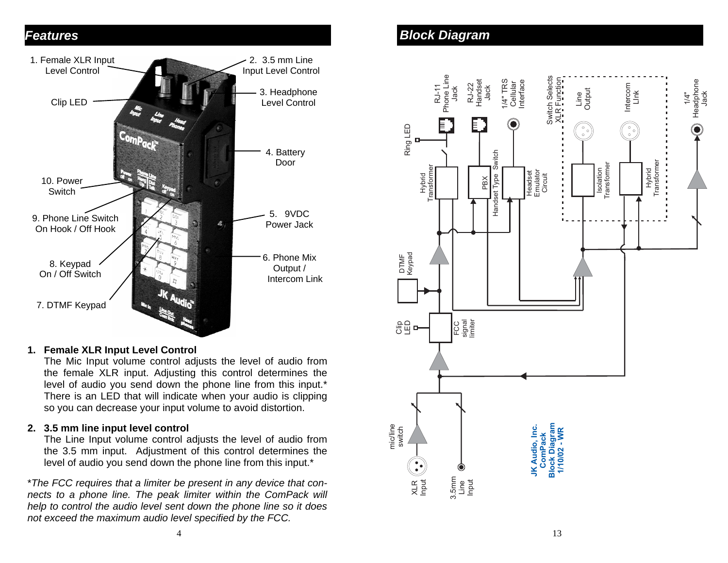## *Features*



#### **1. Female XLR Input Level Control**

 The Mic Input volume control adjusts the level of audio from the female XLR input. Adjusting this control determines the level of audio you send down the phone line from this input.\* There is an LED that will indicate when your audio is clipping so you can decrease your input volume to avoid distortion.

#### **2. 3.5 mm line input level control**

 The Line Input volume control adjusts the level of audio from the 3.5 mm input. Adjustment of this control determines the level of audio you send down the phone line from this input.\*

\**The FCC requires that a limiter be present in any device that connects to a phone line. The peak limiter within the ComPack will help to control the audio level sent down the phone line so it does not exceed the maximum audio level specified by the FCC.* 

# *Block Diagram*

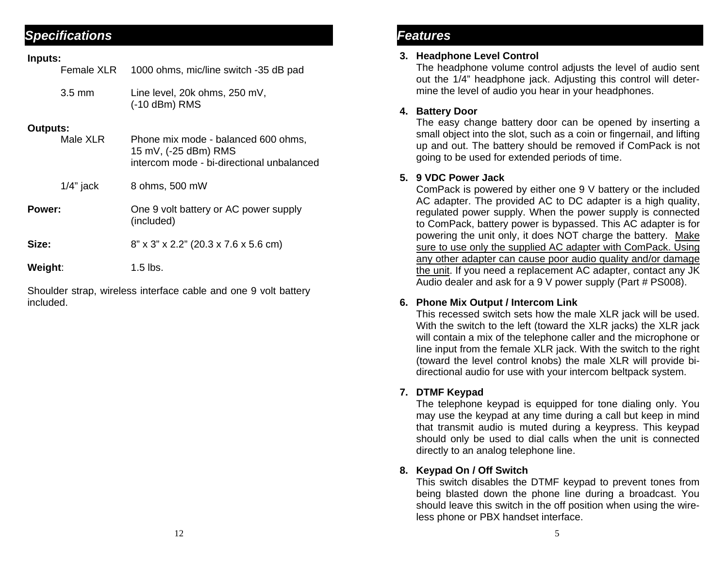# *Specifications*

| Inputs:         | Female XLR       | 1000 ohms, mic/line switch -35 dB pad                                                                    |  |
|-----------------|------------------|----------------------------------------------------------------------------------------------------------|--|
|                 | $3.5 \text{ mm}$ | Line level, 20k ohms, 250 mV,<br>$(-10$ dBm) RMS                                                         |  |
| <b>Outputs:</b> |                  |                                                                                                          |  |
|                 | Male XLR         | Phone mix mode - balanced 600 ohms,<br>15 mV, (-25 dBm) RMS<br>intercom mode - bi-directional unbalanced |  |
|                 | $1/4$ " jack     | 8 ohms, 500 mW                                                                                           |  |
| Power:          |                  | One 9 volt battery or AC power supply<br>(included)                                                      |  |
| Size:           |                  | 8" x 3" x 2.2" (20.3 x 7.6 x 5.6 cm)                                                                     |  |
| Weight:         |                  | 1.5 lbs.                                                                                                 |  |

Shoulder strap, wireless interface cable and one 9 volt battery included.

## *Features*

#### **3. Headphone Level Control**

 The headphone volume control adjusts the level of audio sent out the 1/4" headphone jack. Adjusting this control will determine the level of audio you hear in your headphones.

### **4. Battery Door**

 The easy change battery door can be opened by inserting a small object into the slot, such as a coin or fingernail, and lifting up and out. The battery should be removed if ComPack is not going to be used for extended periods of time.

## **5. 9 VDC Power Jack**

 ComPack is powered by either one 9 V battery or the included AC adapter. The provided AC to DC adapter is a high quality, regulated power supply. When the power supply is connected to ComPack, battery power is bypassed. This AC adapter is for powering the unit only, it does NOT charge the battery. Make sure to use only the supplied AC adapter with ComPack. Using any other adapter can cause poor audio quality and/or damage the unit. If you need a replacement AC adapter, contact any JK Audio dealer and ask for a 9 V power supply (Part # PS008).

## **6. Phone Mix Output / Intercom Link**

 This recessed switch sets how the male XLR jack will be used. With the switch to the left (toward the XLR jacks) the XLR jack will contain a mix of the telephone caller and the microphone or line input from the female XLR jack. With the switch to the right (toward the level control knobs) the male XLR will provide bidirectional audio for use with your intercom beltpack system.

## **7. DTMF Keypad**

 The telephone keypad is equipped for tone dialing only. You may use the keypad at any time during a call but keep in mind that transmit audio is muted during a keypress. This keypad should only be used to dial calls when the unit is connected directly to an analog telephone line.

## **8. Keypad On / Off Switch**

 This switch disables the DTMF keypad to prevent tones from being blasted down the phone line during a broadcast. You should leave this switch in the off position when using the wireless phone or PBX handset interface.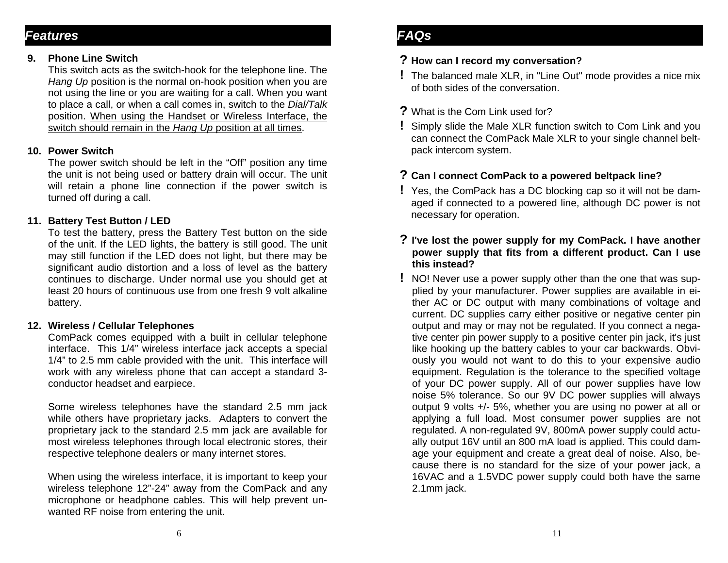## *Features*

#### **9. Phone Line Switch**

 This switch acts as the switch-hook for the telephone line. The *Hang Up* position is the normal on-hook position when you are not using the line or you are waiting for a call. When you want to place a call, or when a call comes in, switch to the *Dial/Talk* position. When using the Handset or Wireless Interface, the switch should remain in the *Hang Up* position at all times.

#### **10. Power Switch**

 The power switch should be left in the "Off" position any time the unit is not being used or battery drain will occur. The unit will retain a phone line connection if the power switch is turned off during a call.

#### **11. Battery Test Button / LED**

 To test the battery, press the Battery Test button on the side of the unit. If the LED lights, the battery is still good. The unit may still function if the LED does not light, but there may be significant audio distortion and a loss of level as the battery continues to discharge. Under normal use you should get at least 20 hours of continuous use from one fresh 9 volt alkaline battery.

#### **12. Wireless / Cellular Telephones**

 ComPack comes equipped with a built in cellular telephone interface. This 1/4" wireless interface jack accepts a special 1/4" to 2.5 mm cable provided with the unit. This interface will work with any wireless phone that can accept a standard 3 conductor headset and earpiece.

 Some wireless telephones have the standard 2.5 mm jack while others have proprietary jacks. Adapters to convert the proprietary jack to the standard 2.5 mm jack are available for most wireless telephones through local electronic stores, their respective telephone dealers or many internet stores.

 When using the wireless interface, it is important to keep your wireless telephone 12"-24" away from the ComPack and any microphone or headphone cables. This will help prevent unwanted RF noise from entering the unit.

# *FAQs*

#### **? How can I record my conversation?**

**!** The balanced male XLR, in "Line Out" mode provides a nice mix of both sides of the conversation.

#### **?** What is the Com Link used for?

**!** Simply slide the Male XLR function switch to Com Link and you can connect the ComPack Male XLR to your single channel beltpack intercom system.

#### **? Can I connect ComPack to a powered beltpack line?**

**!** Yes, the ComPack has a DC blocking cap so it will not be damaged if connected to a powered line, although DC power is not necessary for operation.

#### **? I've lost the power supply for my ComPack. I have another power supply that fits from a different product. Can I use this instead?**

**!** NO! Never use a power supply other than the one that was supplied by your manufacturer. Power supplies are available in either AC or DC output with many combinations of voltage and current. DC supplies carry either positive or negative center pin output and may or may not be regulated. If you connect a negative center pin power supply to a positive center pin jack, it's just like hooking up the battery cables to your car backwards. Obviously you would not want to do this to your expensive audio equipment. Regulation is the tolerance to the specified voltage of your DC power supply. All of our power supplies have low noise 5% tolerance. So our 9V DC power supplies will always output 9 volts +/- 5%, whether you are using no power at all or applying a full load. Most consumer power supplies are not regulated. A non-regulated 9V, 800mA power supply could actually output 16V until an 800 mA load is applied. This could damage your equipment and create a great deal of noise. Also, because there is no standard for the size of your power jack, a 16VAC and a 1.5VDC power supply could both have the same 2.1mm jack.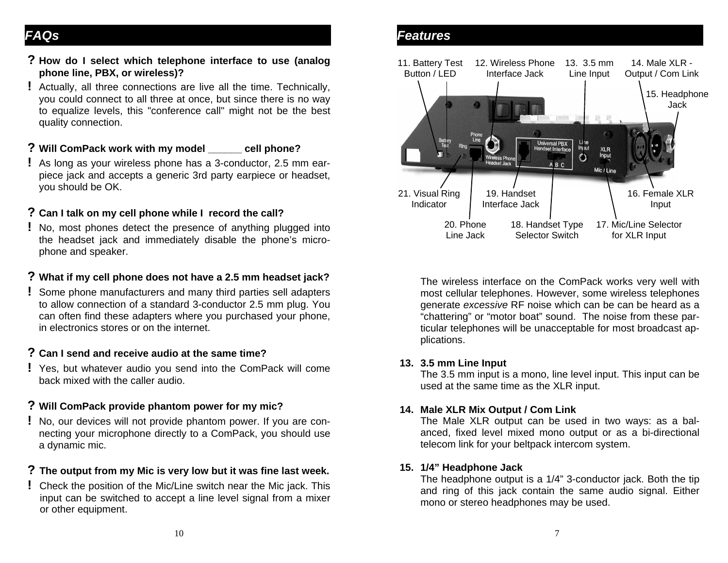# *FAQs*

#### **? How do I select which telephone interface to use (analog phone line, PBX, or wireless)?**

**!** Actually, all three connections are live all the time. Technically, you could connect to all three at once, but since there is no way to equalize levels, this "conference call" might not be the best quality connection.

#### **? Will ComPack work with my model \_\_\_\_\_\_ cell phone?**

**!** As long as your wireless phone has a 3-conductor, 2.5 mm earpiece jack and accepts a generic 3rd party earpiece or headset, you should be OK.

#### **? Can I talk on my cell phone while I record the call?**

**!** No, most phones detect the presence of anything plugged into the headset jack and immediately disable the phone's microphone and speaker.

## **? What if my cell phone does not have a 2.5 mm headset jack?**

**!** Some phone manufacturers and many third parties sell adapters to allow connection of a standard 3-conductor 2.5 mm plug. You can often find these adapters where you purchased your phone, in electronics stores or on the internet.

#### **? Can I send and receive audio at the same time?**

**!** Yes, but whatever audio you send into the ComPack will come back mixed with the caller audio.

## **? Will ComPack provide phantom power for my mic?**

**!** No, our devices will not provide phantom power. If you are connecting your microphone directly to a ComPack, you should use a dynamic mic.

## **? The output from my Mic is very low but it was fine last week.**

**!** Check the position of the Mic/Line switch near the Mic jack. This input can be switched to accept a line level signal from a mixer or other equipment.

## *Features*



 The wireless interface on the ComPack works very well with most cellular telephones. However, some wireless telephones generate *excessive* RF noise which can be can be heard as a "chattering" or "motor boat" sound. The noise from these particular telephones will be unacceptable for most broadcast applications.

#### **13. 3.5 mm Line Input**

 The 3.5 mm input is a mono, line level input. This input can be used at the same time as the XLR input.

#### **14. Male XLR Mix Output / Com Link**

 The Male XLR output can be used in two ways: as a balanced, fixed level mixed mono output or as a bi-directional telecom link for your beltpack intercom system.

#### **15. 1/4" Headphone Jack**

 The headphone output is a 1/4" 3-conductor jack. Both the tip and ring of this jack contain the same audio signal. Either mono or stereo headphones may be used.